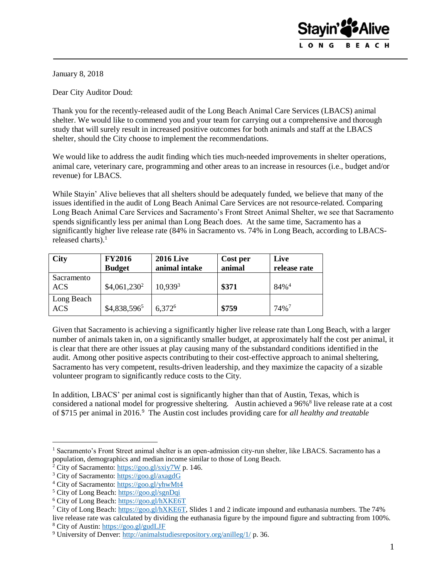

January 8, 2018

Dear City Auditor Doud:

Thank you for the recently-released audit of the Long Beach Animal Care Services (LBACS) animal shelter. We would like to commend you and your team for carrying out a comprehensive and thorough study that will surely result in increased positive outcomes for both animals and staff at the LBACS shelter, should the City choose to implement the recommendations.

We would like to address the audit finding which ties much-needed improvements in shelter operations, animal care, veterinary care, programming and other areas to an increase in resources (i.e., budget and/or revenue) for LBACS.

While Stayin' Alive believes that all shelters should be adequately funded, we believe that many of the issues identified in the audit of Long Beach Animal Care Services are not resource-related. Comparing Long Beach Animal Care Services and Sacramento's Front Street Animal Shelter, we see that Sacramento spends significantly less per animal than Long Beach does. At the same time, Sacramento has a significantly higher live release rate (84% in Sacramento vs. 74% in Long Beach, according to LBACSreleased charts). 1

| <b>City</b>              | <b>FY2016</b><br><b>Budget</b> | <b>2016 Live</b><br>animal intake | Cost per<br>animal | Live<br>release rate |
|--------------------------|--------------------------------|-----------------------------------|--------------------|----------------------|
| Sacramento<br><b>ACS</b> | $$4,061,230^2$                 | 10.939 <sup>3</sup>               | \$371              | $84\%$ <sup>4</sup>  |
| Long Beach<br><b>ACS</b> | \$4,838,5965                   | 6.372 <sup>6</sup>                | \$759              | $74\%$ <sup>7</sup>  |

Given that Sacramento is achieving a significantly higher live release rate than Long Beach, with a larger number of animals taken in, on a significantly smaller budget, at approximately half the cost per animal, it is clear that there are other issues at play causing many of the substandard conditions identified in the audit. Among other positive aspects contributing to their cost-effective approach to animal sheltering, Sacramento has very competent, results-driven leadership, and they maximize the capacity of a sizable volunteer program to significantly reduce costs to the City.

In addition, LBACS' per animal cost is significantly higher than that of Austin, Texas, which is considered a national model for progressive sheltering. Austin achieved a 96%<sup>8</sup> live release rate at a cost of \$715 per animal in 2016.<sup>9</sup> The Austin cost includes providing care for *all healthy and treatable* 

 $\overline{a}$ 

live release rate was calculated by dividing the euthanasia figure by the impound figure and subtracting from 100%. <sup>8</sup> City of Austin:<https://goo.gl/gudLJF>

<sup>&</sup>lt;sup>1</sup> Sacramento's Front Street animal shelter is an open-admission city-run shelter, like LBACS. Sacramento has a population, demographics and median income similar to those of Long Beach.

 $2$  City of Sacramento:<https://goo.gl/sxiy7W> p. 146.

<sup>3</sup> City of Sacramento:<https://goo.gl/axagdG>

<sup>4</sup> City of Sacramento:<https://goo.gl/yhwMt4>

<sup>5</sup> City of Long Beach:<https://goo.gl/sgnDqi>

<sup>6</sup> City of Long Beach:<https://goo.gl/hXKE6T>

<sup>&</sup>lt;sup>7</sup> City of Long Beach: [https://goo.gl/hXKE6T,](https://goo.gl/hXKE6T) Slides 1 and 2 indicate impound and euthanasia numbers. The 74%

<sup>9</sup> University of Denver:<http://animalstudiesrepository.org/anilleg/1/> p. 36.